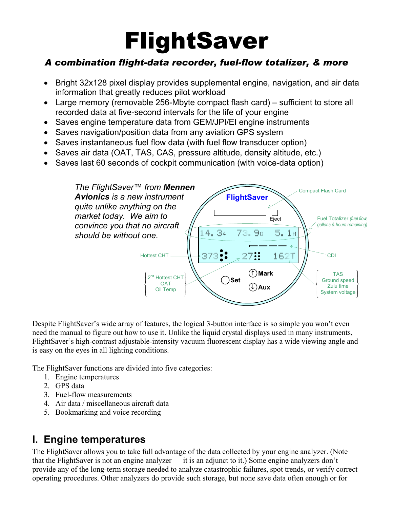# FlightSaver

# *A combination flight-data recorder, fuel-flow totalizer, & more*

- Bright 32x128 pixel display provides supplemental engine, navigation, and air data information that greatly reduces pilot workload
- Large memory (removable 256-Mbyte compact flash card) sufficient to store all recorded data at five-second intervals for the life of your engine
- Saves engine temperature data from GEM/JPI/EI engine instruments
- Saves navigation/position data from any aviation GPS system
- Saves instantaneous fuel flow data (with fuel flow transducer option)
- Saves air data (OAT, TAS, CAS, pressure altitude, density altitude, etc.)
- Saves last 60 seconds of cockpit communication (with voice-data option)



Despite FlightSaver's wide array of features, the logical 3-button interface is so simple you won't even need the manual to figure out how to use it. Unlike the liquid crystal displays used in many instruments, FlightSaver's high-contrast adjustable-intensity vacuum fluorescent display has a wide viewing angle and is easy on the eyes in all lighting conditions.

The FlightSaver functions are divided into five categories:

- 1. Engine temperatures
- 2. GPS data
- 3. Fuel-flow measurements
- 4. Air data / miscellaneous aircraft data
- 5. Bookmarking and voice recording

#### **I. Engine temperatures**

The FlightSaver allows you to take full advantage of the data collected by your engine analyzer. (Note that the FlightSaver is not an engine analyzer — it is an adjunct to it.) Some engine analyzers don't provide any of the long-term storage needed to analyze catastrophic failures, spot trends, or verify correct operating procedures. Other analyzers do provide such storage, but none save data often enough or for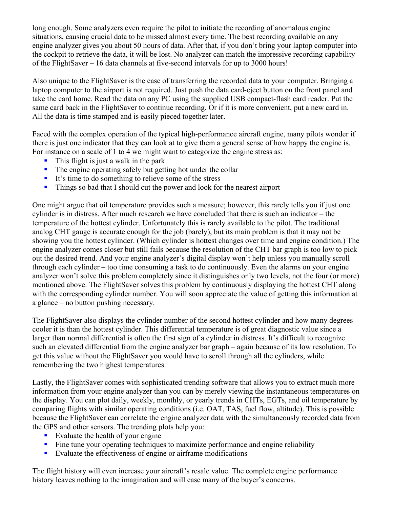long enough. Some analyzers even require the pilot to initiate the recording of anomalous engine situations, causing crucial data to be missed almost every time. The best recording available on any engine analyzer gives you about 50 hours of data. After that, if you don't bring your laptop computer into the cockpit to retrieve the data, it will be lost. No analyzer can match the impressive recording capability of the FlightSaver – 16 data channels at five-second intervals for up to 3000 hours!

Also unique to the FlightSaver is the ease of transferring the recorded data to your computer. Bringing a laptop computer to the airport is not required. Just push the data card-eject button on the front panel and take the card home. Read the data on any PC using the supplied USB compact-flash card reader. Put the same card back in the FlightSaver to continue recording. Or if it is more convenient, put a new card in. All the data is time stamped and is easily pieced together later.

Faced with the complex operation of the typical high-performance aircraft engine, many pilots wonder if there is just one indicator that they can look at to give them a general sense of how happy the engine is. For instance on a scale of 1 to 4 we might want to categorize the engine stress as:

- **This flight is just a walk in the park**
- The engine operating safely but getting hot under the collar
- It's time to do something to relieve some of the stress
- **Things so bad that I should cut the power and look for the nearest airport**

One might argue that oil temperature provides such a measure; however, this rarely tells you if just one cylinder is in distress. After much research we have concluded that there is such an indicator – the temperature of the hottest cylinder. Unfortunately this is rarely available to the pilot. The traditional analog CHT gauge is accurate enough for the job (barely), but its main problem is that it may not be showing you the hottest cylinder. (Which cylinder is hottest changes over time and engine condition.) The engine analyzer comes closer but still fails because the resolution of the CHT bar graph is too low to pick out the desired trend. And your engine analyzer's digital display won't help unless you manually scroll through each cylinder – too time consuming a task to do continuously. Even the alarms on your engine analyzer won't solve this problem completely since it distinguishes only two levels, not the four (or more) mentioned above. The FlightSaver solves this problem by continuously displaying the hottest CHT along with the corresponding cylinder number. You will soon appreciate the value of getting this information at a glance – no button pushing necessary.

The FlightSaver also displays the cylinder number of the second hottest cylinder and how many degrees cooler it is than the hottest cylinder. This differential temperature is of great diagnostic value since a larger than normal differential is often the first sign of a cylinder in distress. It's difficult to recognize such an elevated differential from the engine analyzer bar graph – again because of its low resolution. To get this value without the FlightSaver you would have to scroll through all the cylinders, while remembering the two highest temperatures.

Lastly, the FlightSaver comes with sophisticated trending software that allows you to extract much more information from your engine analyzer than you can by merely viewing the instantaneous temperatures on the display. You can plot daily, weekly, monthly, or yearly trends in CHTs, EGTs, and oil temperature by comparing flights with similar operating conditions (i.e. OAT, TAS, fuel flow, altitude). This is possible because the FlightSaver can correlate the engine analyzer data with the simultaneously recorded data from the GPS and other sensors. The trending plots help you:

- Evaluate the health of your engine
- Fine tune your operating techniques to maximize performance and engine reliability
- Evaluate the effectiveness of engine or airframe modifications

The flight history will even increase your aircraft's resale value. The complete engine performance history leaves nothing to the imagination and will ease many of the buyer's concerns.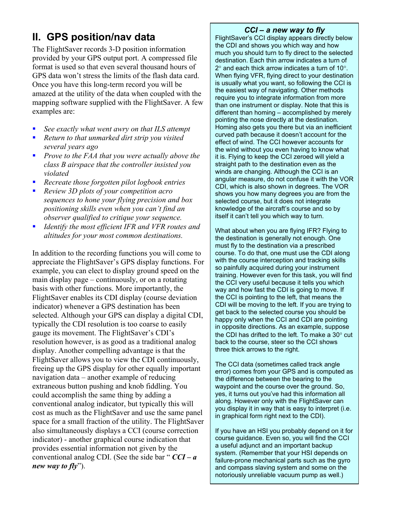## **II. GPS position/nav data**

The FlightSaver records 3-D position information provided by your GPS output port. A compressed file format is used so that even several thousand hours of GPS data won't stress the limits of the flash data card. Once you have this long-term record you will be amazed at the utility of the data when coupled with the mapping software supplied with the FlightSaver. A few examples are:

- *See exactly what went awry on that ILS attempt*
- *Return to that unmarked dirt strip you visited several years ago*
- *Prove to the FAA that you were actually above the class B airspace that the controller insisted you violated*
- *Recreate those forgotten pilot logbook entries*
- *Review 3D plots of your competition acro sequences to hone your flying precision and box positioning skills even when you can't find an observer qualified to critique your sequence.*
- *Identify the most efficient IFR and VFR routes and altitudes for your most common destinations.*

In addition to the recording functions you will come to appreciate the FlightSaver's GPS display functions. For example, you can elect to display ground speed on the main display page – continuously, or on a rotating basis with other functions. More importantly, the FlightSaver enables its CDI display (course deviation indicator) whenever a GPS destination has been selected. Although your GPS can display a digital CDI, typically the CDI resolution is too coarse to easily gauge its movement. The FlightSaver's CDI's resolution however, is as good as a traditional analog display. Another compelling advantage is that the FlightSaver allows you to view the CDI continuously, freeing up the GPS display for other equally important navigation data – another example of reducing extraneous button pushing and knob fiddling. You could accomplish the same thing by adding a conventional analog indicator, but typically this will cost as much as the FlightSaver and use the same panel space for a small fraction of the utility. The FlightSaver also simultaneously displays a CCI (course correction indicator) - another graphical course indication that provides essential information not given by the conventional analog CDI. (See the side bar " *CCI – a new way to fly*").

#### *CCI – a new way to fly*

FlightSaver's CCI display appears directly below the CDI and shows you which way and how much you should turn to fly direct to the selected destination. Each thin arrow indicates a turn of 2° and each thick arrow indicates a turn of 10°. When flying VFR, flying direct to your destination is usually what you want, so following the CCI is the easiest way of navigating. Other methods require you to integrate information from more than one instrument or display. Note that this is different than homing – accomplished by merely pointing the nose directly at the destination. Homing also gets you there but via an inefficient curved path because it doesn't account for the effect of wind. The CCI however accounts for the wind without you even having to know what it is. Flying to keep the CCI zeroed will yield a straight path to the destination even as the winds are changing. Although the CCI is an angular measure, do not confuse it with the VOR CDI, which is also shown in degrees. The VOR shows you how many degrees you are from the selected course, but it does not integrate knowledge of the aircraft's course and so by itself it can't tell you which way to turn.

What about when you are flying IFR? Flying to the destination is generally not enough. One must fly to the destination via a prescribed course. To do that, one must use the CDI along with the course interception and tracking skills so painfully acquired during your instrument training. However even for this task, you will find the CCI very useful because it tells you which way and how fast the CDI is going to move. If the CCI is pointing to the left, that means the CDI will be moving to the left. If you are trying to get back to the selected course you should be happy only when the CCI and CDI are pointing in opposite directions. As an example, suppose the CDI has drifted to the left. To make a 30° cut back to the course, steer so the CCI shows three thick arrows to the right.

The CCI data (sometimes called track angle error) comes from your GPS and is computed as the difference between the bearing to the waypoint and the course over the ground. So, yes, it turns out you've had this information all along. However only with the FlightSaver can you display it in way that is easy to interpret (i.e. in graphical form right next to the CDI).

If you have an HSI you probably depend on it for course guidance. Even so, you will find the CCI a useful adjunct and an important backup system. (Remember that your HSI depends on failure-prone mechanical parts such as the gyro and compass slaving system and some on the notoriously unreliable vacuum pump as well.)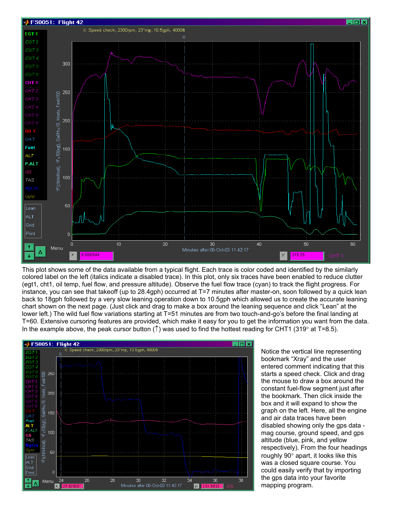

This plot shows some of the data available from a typical flight. Each trace is color coded and identified by the similarly colored label on the left (italics indicate a disabled trace). In this plot, only six traces have been enabled to reduce clutter (egt1, cht1, oil temp, fuel flow, and pressure altitude). Observe the fuel flow trace (cyan) to track the flight progress. For instance, you can see that takeoff (up to 28.4gph) occurred at T=7 minutes after master-on, soon followed by a quick lean back to 18gph followed by a very slow leaning operation down to 10.5gph which allowed us to create the accurate leaning chart shown on the next page. (Just click and drag to make a box around the leaning sequence and click "Lean" at the lower left.) The wild fuel flow variations starting at T=51 minutes are from two touch-and-go's before the final landing at T=60. Extensive cursoring features are provided, which make it easy for you to get the information you want from the data. In the example above, the peak cursor button ( $\uparrow$ ) was used to find the hottest reading for CHT1 (319° at T=8.5).



Notice the vertical line representing bookmark "Xray" and the user entered comment indicating that this starts a speed check. Click and drag the mouse to draw a box around the constant fuel-flow segment just after the bookmark. Then click inside the box and it will expand to show the graph on the left. Here, all the engine and air data traces have been disabled showing only the gps data mag course, ground speed, and gps altitude (blue, pink, and yellow respectively). From the four headings roughly 90° apart, it looks like this was a closed square course. You could easily verify that by importing the gps data into your favorite mapping program.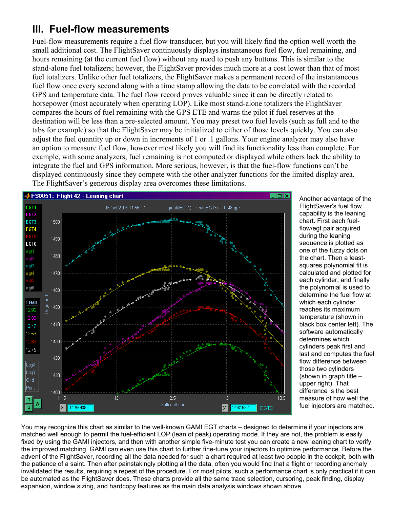# **III. Fuel-flow measurements**

Fuel-flow measurements require a fuel flow transducer, but you will likely find the option well worth the small additional cost. The FlightSaver continuously displays instantaneous fuel flow, fuel remaining, and hours remaining (at the current fuel flow) without any need to push any buttons. This is similar to the stand-alone fuel totalizers; however, the FlightSaver provides much more at a cost lower than that of most fuel totalizers. Unlike other fuel totalizers, the FlightSaver makes a permanent record of the instantaneous fuel flow once every second along with a time stamp allowing the data to be correlated with the recorded GPS and temperature data. The fuel flow record proves valuable since it can be directly related to horsepower (most accurately when operating LOP). Like most stand-alone totalizers the FlightSaver compares the hours of fuel remaining with the GPS ETE and warns the pilot if fuel reserves at the destination will be less than a pre-selected amount. You may preset two fuel levels (such as full and to the tabs for example) so that the FlightSaver may be initialized to either of those levels quickly. You can also adjust the fuel quantity up or down in increments of 1 or .1 gallons. Your engine analyzer may also have an option to measure fuel flow, however most likely you will find its functionality less than complete. For example, with some analyzers, fuel remaining is not computed or displayed while others lack the ability to integrate the fuel and GPS information. More serious, however, is that the fuel-flow functions can't be displayed continuously since they compete with the other analyzer functions for the limited display area. The FlightSaver's generous display area overcomes these limitations.



Another advantage of the FlightSaver's fuel flow capability is the leaning chart. First each fuelflow/egt pair acquired during the leaning sequence is plotted as one of the fuzzy dots on the chart. Then a leastsquares polynomial fit is calculated and plotted for each cylinder, and finally the polynomial is used to determine the fuel flow at which each cylinder reaches its maximum temperature (shown in black box center left). The software automatically determines which cylinders peak first and last and computes the fuel flow difference between those two cylinders (shown in graph title – upper right). That difference is the best measure of how well the fuel injectors are matched.

You may recognize this chart as similar to the well-known GAMI EGT charts – designed to determine if your injectors are matched well enough to permit the fuel-efficient LOP (lean of peak) operating mode. If they are not, the problem is easily fixed by using the GAMI injectors, and then with another simple five-minute test you can create a new leaning chart to verify the improved matching. GAMI can even use this chart to further fine-tune your injectors to optimize performance. Before the advent of the FlightSaver, recording all the data needed for such a chart required at least two people in the cockpit, both with the patience of a saint. Then after painstakingly plotting all the data, often you would find that a flight or recording anomaly invalidated the results, requiring a repeat of the procedure. For most pilots, such a performance chart is only practical if it can be automated as the FlightSaver does. These charts provide all the same trace selection, cursoring, peak finding, display expansion, window sizing, and hardcopy features as the main data analysis windows shown above.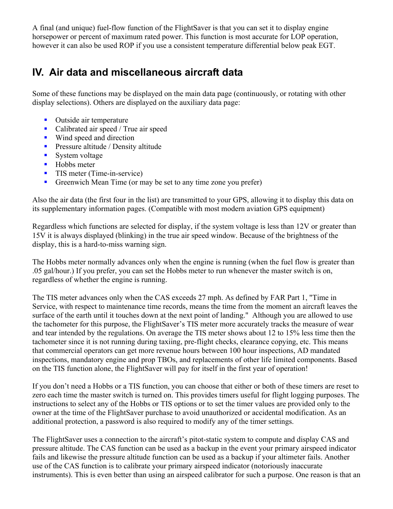A final (and unique) fuel-flow function of the FlightSaver is that you can set it to display engine horsepower or percent of maximum rated power. This function is most accurate for LOP operation, however it can also be used ROP if you use a consistent temperature differential below peak EGT.

# **IV. Air data and miscellaneous aircraft data**

Some of these functions may be displayed on the main data page (continuously, or rotating with other display selections). Others are displayed on the auxiliary data page:

- Outside air temperature
- Calibrated air speed / True air speed
- Wind speed and direction
- **Pressure altitude / Density altitude**
- System voltage
- $\blacksquare$  Hobbs meter
- **TIS meter (Time-in-service)**
- Greenwich Mean Time (or may be set to any time zone you prefer)

Also the air data (the first four in the list) are transmitted to your GPS, allowing it to display this data on its supplementary information pages. (Compatible with most modern aviation GPS equipment)

Regardless which functions are selected for display, if the system voltage is less than 12V or greater than 15V it is always displayed (blinking) in the true air speed window. Because of the brightness of the display, this is a hard-to-miss warning sign.

The Hobbs meter normally advances only when the engine is running (when the fuel flow is greater than .05 gal/hour.) If you prefer, you can set the Hobbs meter to run whenever the master switch is on, regardless of whether the engine is running.

The TIS meter advances only when the CAS exceeds 27 mph. As defined by FAR Part 1, "Time in Service, with respect to maintenance time records, means the time from the moment an aircraft leaves the surface of the earth until it touches down at the next point of landing." Although you are allowed to use the tachometer for this purpose, the FlightSaver's TIS meter more accurately tracks the measure of wear and tear intended by the regulations. On average the TIS meter shows about 12 to 15% less time then the tachometer since it is not running during taxiing, pre-flight checks, clearance copying, etc. This means that commercial operators can get more revenue hours between 100 hour inspections, AD mandated inspections, mandatory engine and prop TBOs, and replacements of other life limited components. Based on the TIS function alone, the FlightSaver will pay for itself in the first year of operation!

If you don't need a Hobbs or a TIS function, you can choose that either or both of these timers are reset to zero each time the master switch is turned on. This provides timers useful for flight logging purposes. The instructions to select any of the Hobbs or TIS options or to set the timer values are provided only to the owner at the time of the FlightSaver purchase to avoid unauthorized or accidental modification. As an additional protection, a password is also required to modify any of the timer settings.

The FlightSaver uses a connection to the aircraft's pitot-static system to compute and display CAS and pressure altitude. The CAS function can be used as a backup in the event your primary airspeed indicator fails and likewise the pressure altitude function can be used as a backup if your altimeter fails. Another use of the CAS function is to calibrate your primary airspeed indicator (notoriously inaccurate instruments). This is even better than using an airspeed calibrator for such a purpose. One reason is that an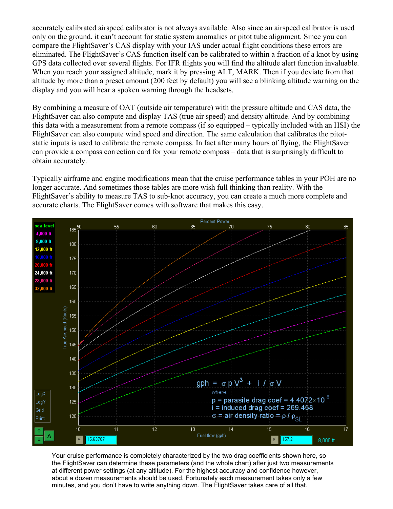accurately calibrated airspeed calibrator is not always available. Also since an airspeed calibrator is used only on the ground, it can't account for static system anomalies or pitot tube alignment. Since you can compare the FlightSaver's CAS display with your IAS under actual flight conditions these errors are eliminated. The FlightSaver's CAS function itself can be calibrated to within a fraction of a knot by using GPS data collected over several flights. For IFR flights you will find the altitude alert function invaluable. When you reach your assigned altitude, mark it by pressing ALT, MARK. Then if you deviate from that altitude by more than a preset amount (200 feet by default) you will see a blinking altitude warning on the display and you will hear a spoken warning through the headsets.

By combining a measure of OAT (outside air temperature) with the pressure altitude and CAS data, the FlightSaver can also compute and display TAS (true air speed) and density altitude. And by combining this data with a measurement from a remote compass (if so equipped – typically included with an HSI) the FlightSaver can also compute wind speed and direction. The same calculation that calibrates the pitotstatic inputs is used to calibrate the remote compass. In fact after many hours of flying, the FlightSaver can provide a compass correction card for your remote compass – data that is surprisingly difficult to obtain accurately.

Typically airframe and engine modifications mean that the cruise performance tables in your POH are no longer accurate. And sometimes those tables are more wish full thinking than reality. With the FlightSaver's ability to measure TAS to sub-knot accuracy, you can create a much more complete and accurate charts. The FlightSaver comes with software that makes this easy.



Your cruise performance is completely characterized by the two drag coefficients shown here, so the FlightSaver can determine these parameters (and the whole chart) after just two measurements at different power settings (at any altitude). For the highest accuracy and confidence however, about a dozen measurements should be used. Fortunately each measurement takes only a few minutes, and you don't have to write anything down. The FlightSaver takes care of all that.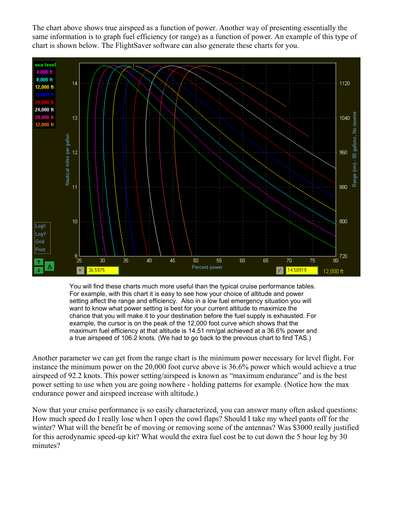The chart above shows true airspeed as a function of power. Another way of presenting essentially the same information is to graph fuel efficiency (or range) as a function of power. An example of this type of chart is shown below. The FlightSaver software can also generate these charts for you.



You will find these charts much more useful than the typical cruise performance tables. For example, with this chart it is easy to see how your choice of altitude and power setting affect the range and efficiency. Also in a low fuel emergency situation you will want to know what power setting is best for your current altitude to maximize the chance that you will make it to your destination before the fuel supply is exhausted. For example, the cursor is on the peak of the 12,000 foot curve which shows that the maximum fuel efficiency at that altitude is 14.51 nm/gal achieved at a 36.6% power and a true airspeed of 106.2 knots. (We had to go back to the previous chart to find TAS.)

Another parameter we can get from the range chart is the minimum power necessary for level flight. For instance the minimum power on the 20,000 foot curve above is 36.6% power which would achieve a true airspeed of 92.2 knots. This power setting/airspeed is known as "maximum endurance" and is the best power setting to use when you are going nowhere - holding patterns for example. (Notice how the max endurance power and airspeed increase with altitude.)

Now that your cruise performance is so easily characterized, you can answer many often asked questions: How much speed do I really lose when I open the cowl flaps? Should I take my wheel pants off for the winter? What will the benefit be of moving or removing some of the antennas? Was \$3000 really justified for this aerodynamic speed-up kit? What would the extra fuel cost be to cut down the 5 hour leg by 30 minutes?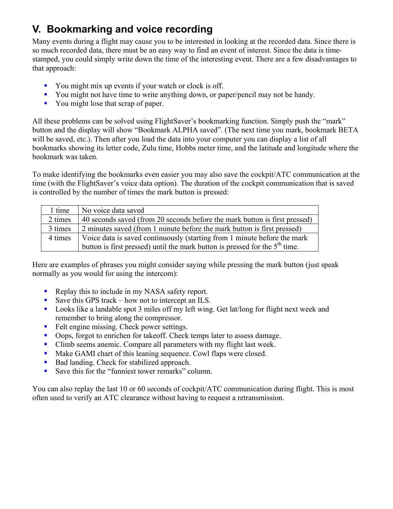# **V. Bookmarking and voice recording**

Many events during a flight may cause you to be interested in looking at the recorded data. Since there is so much recorded data, there must be an easy way to find an event of interest. Since the data is timestamped, you could simply write down the time of the interesting event. There are a few disadvantages to that approach:

- You might mix up events if your watch or clock is off.
- You might not have time to write anything down, or paper/pencil may not be handy.
- You might lose that scrap of paper.

All these problems can be solved using FlightSaver's bookmarking function. Simply push the "mark" button and the display will show "Bookmark ALPHA saved". (The next time you mark, bookmark BETA will be saved, etc.). Then after you load the data into your computer you can display a list of all bookmarks showing its letter code, Zulu time, Hobbs meter time, and the latitude and longitude where the bookmark was taken.

To make identifying the bookmarks even easier you may also save the cockpit/ATC communication at the time (with the FlightSaver's voice data option). The duration of the cockpit communication that is saved is controlled by the number of times the mark button is pressed:

| 1 time  | No voice data saved                                                           |
|---------|-------------------------------------------------------------------------------|
| 2 times | 40 seconds saved (from 20 seconds before the mark button is first pressed)    |
| 3 times | 2 minutes saved (from 1 minute before the mark button is first pressed)       |
| 4 times | Voice data is saved continuously (starting from 1 minute before the mark      |
|         | button is first pressed) until the mark button is pressed for the $5th$ time. |

Here are examples of phrases you might consider saying while pressing the mark button (just speak normally as you would for using the intercom):

- Replay this to include in my NASA safety report.
- Save this GPS track how not to intercept an ILS.
- **Looks like a landable spot 3 miles off my left wing. Get lat/long for flight next week and** remember to bring along the compressor.
- Felt engine missing. Check power settings.
- Oops, forgot to enrichen for takeoff. Check temps later to assess damage.
- Climb seems anemic. Compare all parameters with my flight last week.
- Make GAMI chart of this leaning sequence. Cowl flaps were closed.
- Bad landing. Check for stabilized approach.
- Save this for the "funniest tower remarks" column.

You can also replay the last 10 or 60 seconds of cockpit/ATC communication during flight. This is most often used to verify an ATC clearance without having to request a retransmission.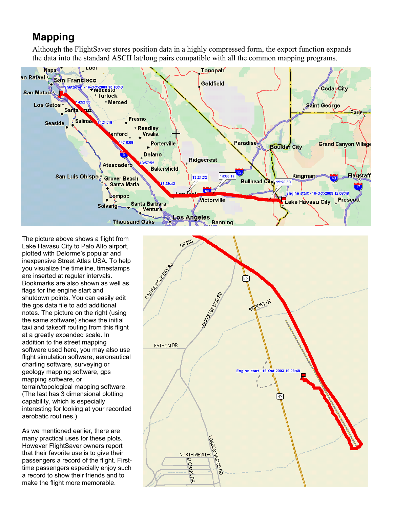#### **Mapping**

Although the FlightSaver stores position data in a highly compressed form, the export function expands the data into the standard ASCII lat/long pairs compatible with all the common mapping programs.



The picture above shows a flight from Lake Havasu City to Palo Alto airport, plotted with Delorme's popular and inexpensive Street Atlas USA. To help you visualize the timeline, timestamps are inserted at regular intervals. Bookmarks are also shown as well as flags for the engine start and shutdown points. You can easily edit the gps data file to add additional notes. The picture on the right (using the same software) shows the initial taxi and takeoff routing from this flight at a greatly expanded scale. In addition to the street mapping software used here, you may also use flight simulation software, aeronautical charting software, surveying or geology mapping software, gps mapping software, or terrain/topological mapping software. (The last has 3 dimensional plotting capability, which is especially interesting for looking at your recorded aerobatic routines.)

As we mentioned earlier, there are many practical uses for these plots. However FlightSaver owners report that their favorite use is to give their passengers a record of the flight. Firsttime passengers especially enjoy such a record to show their friends and to make the flight more memorable.

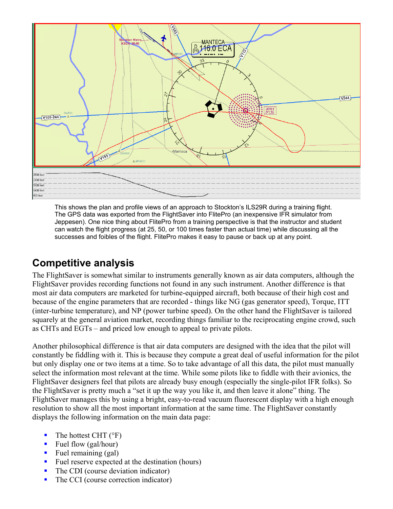

This shows the plan and profile views of an approach to Stockton's ILS29R during a training flight. The GPS data was exported from the FlightSaver into FlitePro (an inexpensive IFR simulator from Jeppesen). One nice thing about FlitePro from a training perspective is that the instructor and student can watch the flight progress (at 25, 50, or 100 times faster than actual time) while discussing all the successes and foibles of the flight. FlitePro makes it easy to pause or back up at any point.

## **Competitive analysis**

The FlightSaver is somewhat similar to instruments generally known as air data computers, although the FlightSaver provides recording functions not found in any such instrument. Another difference is that most air data computers are marketed for turbine-equipped aircraft, both because of their high cost and because of the engine parameters that are recorded - things like NG (gas generator speed), Torque, ITT (inter-turbine temperature), and NP (power turbine speed). On the other hand the FlightSaver is tailored squarely at the general aviation market, recording things familiar to the reciprocating engine crowd, such as CHTs and EGTs – and priced low enough to appeal to private pilots.

Another philosophical difference is that air data computers are designed with the idea that the pilot will constantly be fiddling with it. This is because they compute a great deal of useful information for the pilot but only display one or two items at a time. So to take advantage of all this data, the pilot must manually select the information most relevant at the time. While some pilots like to fiddle with their avionics, the FlightSaver designers feel that pilots are already busy enough (especially the single-pilot IFR folks). So the FlightSaver is pretty much a "set it up the way you like it, and then leave it alone" thing. The FlightSaver manages this by using a bright, easy-to-read vacuum fluorescent display with a high enough resolution to show all the most important information at the same time. The FlightSaver constantly displays the following information on the main data page:

- $\blacksquare$  The hottest CHT ( ${}^{\circ}$ F)
- Fuel flow (gal/hour)
- Fuel remaining (gal)
- Fuel reserve expected at the destination (hours)
- The CDI (course deviation indicator)
- The CCI (course correction indicator)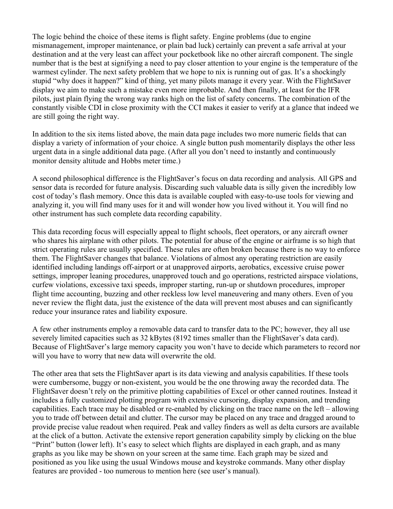The logic behind the choice of these items is flight safety. Engine problems (due to engine mismanagement, improper maintenance, or plain bad luck) certainly can prevent a safe arrival at your destination and at the very least can affect your pocketbook like no other aircraft component. The single number that is the best at signifying a need to pay closer attention to your engine is the temperature of the warmest cylinder. The next safety problem that we hope to nix is running out of gas. It's a shockingly stupid "why does it happen?" kind of thing, yet many pilots manage it every year. With the FlightSaver display we aim to make such a mistake even more improbable. And then finally, at least for the IFR pilots, just plain flying the wrong way ranks high on the list of safety concerns. The combination of the constantly visible CDI in close proximity with the CCI makes it easier to verify at a glance that indeed we are still going the right way.

In addition to the six items listed above, the main data page includes two more numeric fields that can display a variety of information of your choice. A single button push momentarily displays the other less urgent data in a single additional data page. (After all you don't need to instantly and continuously monitor density altitude and Hobbs meter time.)

A second philosophical difference is the FlightSaver's focus on data recording and analysis. All GPS and sensor data is recorded for future analysis. Discarding such valuable data is silly given the incredibly low cost of today's flash memory. Once this data is available coupled with easy-to-use tools for viewing and analyzing it, you will find many uses for it and will wonder how you lived without it. You will find no other instrument has such complete data recording capability.

This data recording focus will especially appeal to flight schools, fleet operators, or any aircraft owner who shares his airplane with other pilots. The potential for abuse of the engine or airframe is so high that strict operating rules are usually specified. These rules are often broken because there is no way to enforce them. The FlightSaver changes that balance. Violations of almost any operating restriction are easily identified including landings off-airport or at unapproved airports, aerobatics, excessive cruise power settings, improper leaning procedures, unapproved touch and go operations, restricted airspace violations, curfew violations, excessive taxi speeds, improper starting, run-up or shutdown procedures, improper flight time accounting, buzzing and other reckless low level maneuvering and many others. Even of you never review the flight data, just the existence of the data will prevent most abuses and can significantly reduce your insurance rates and liability exposure.

A few other instruments employ a removable data card to transfer data to the PC; however, they all use severely limited capacities such as 32 kBytes (8192 times smaller than the FlightSaver's data card). Because of FlightSaver's large memory capacity you won't have to decide which parameters to record nor will you have to worry that new data will overwrite the old.

The other area that sets the FlightSaver apart is its data viewing and analysis capabilities. If these tools were cumbersome, buggy or non-existent, you would be the one throwing away the recorded data. The FlightSaver doesn't rely on the primitive plotting capabilities of Excel or other canned routines. Instead it includes a fully customized plotting program with extensive cursoring, display expansion, and trending capabilities. Each trace may be disabled or re-enabled by clicking on the trace name on the left – allowing you to trade off between detail and clutter. The cursor may be placed on any trace and dragged around to provide precise value readout when required. Peak and valley finders as well as delta cursors are available at the click of a button. Activate the extensive report generation capability simply by clicking on the blue "Print" button (lower left). It's easy to select which flights are displayed in each graph, and as many graphs as you like may be shown on your screen at the same time. Each graph may be sized and positioned as you like using the usual Windows mouse and keystroke commands. Many other display features are provided - too numerous to mention here (see user's manual).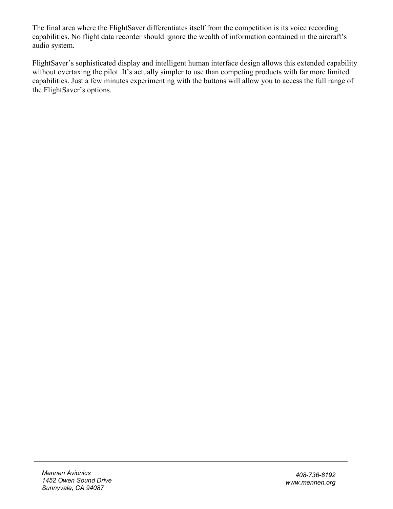The final area where the FlightSaver differentiates itself from the competition is its voice recording capabilities. No flight data recorder should ignore the wealth of information contained in the aircraft's audio system.

FlightSaver's sophisticated display and intelligent human interface design allows this extended capability without overtaxing the pilot. It's actually simpler to use than competing products with far more limited capabilities. Just a few minutes experimenting with the buttons will allow you to access the full range of the FlightSaver's options.